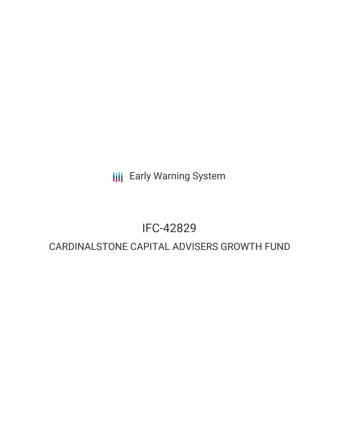**III** Early Warning System

# IFC-42829

# CARDINALSTONE CAPITAL ADVISERS GROWTH FUND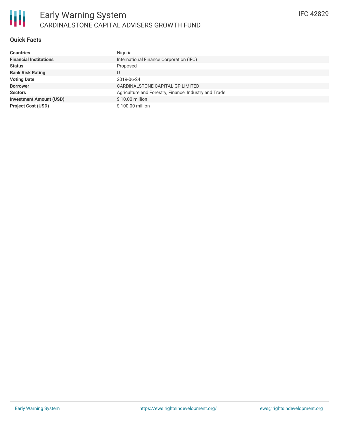# **Quick Facts**

| <b>Countries</b>               | Nigeria                                               |
|--------------------------------|-------------------------------------------------------|
| <b>Financial Institutions</b>  | International Finance Corporation (IFC)               |
| <b>Status</b>                  | Proposed                                              |
| <b>Bank Risk Rating</b>        | U                                                     |
| <b>Voting Date</b>             | 2019-06-24                                            |
| <b>Borrower</b>                | CARDINALSTONE CAPITAL GP LIMITED                      |
| <b>Sectors</b>                 | Agriculture and Forestry, Finance, Industry and Trade |
| <b>Investment Amount (USD)</b> | $$10.00$ million                                      |
| <b>Project Cost (USD)</b>      | \$100.00 million                                      |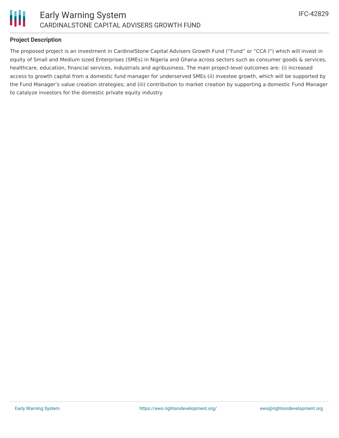

## **Project Description**

The proposed project is an investment in CardinalStone Capital Advisers Growth Fund ("Fund" or "CCA I") which will invest in equity of Small and Medium sized Enterprises (SMEs) in Nigeria and Ghana across sectors such as consumer goods & services, healthcare, education, financial services, industrials and agribusiness. The main project-level outcomes are: (i) increased access to growth capital from a domestic fund manager for underserved SMEs (ii) investee growth, which will be supported by the Fund Manager's value creation strategies; and (iii) contribution to market creation by supporting a domestic Fund Manager to catalyze investors for the domestic private equity industry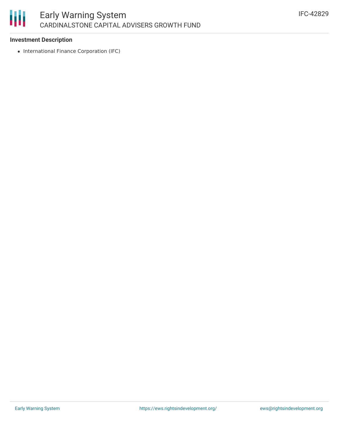#### 冊 Early Warning System CARDINALSTONE CAPITAL ADVISERS GROWTH FUND

#### **Investment Description**

• International Finance Corporation (IFC)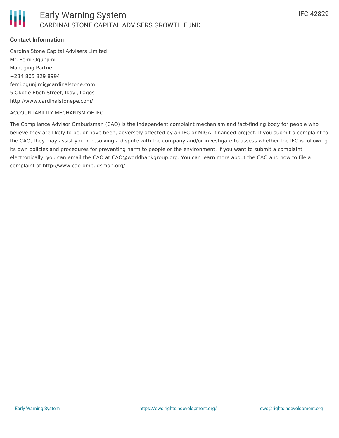## **Contact Information**

CardinalStone Capital Advisers Limited Mr. Femi Ogunjimi Managing Partner +234 805 829 8994 femi.ogunjimi@cardinalstone.com 5 Okotie Eboh Street, Ikoyi, Lagos http://www.cardinalstonepe.com/

#### ACCOUNTABILITY MECHANISM OF IFC

The Compliance Advisor Ombudsman (CAO) is the independent complaint mechanism and fact-finding body for people who believe they are likely to be, or have been, adversely affected by an IFC or MIGA- financed project. If you submit a complaint to the CAO, they may assist you in resolving a dispute with the company and/or investigate to assess whether the IFC is following its own policies and procedures for preventing harm to people or the environment. If you want to submit a complaint electronically, you can email the CAO at CAO@worldbankgroup.org. You can learn more about the CAO and how to file a complaint at http://www.cao-ombudsman.org/